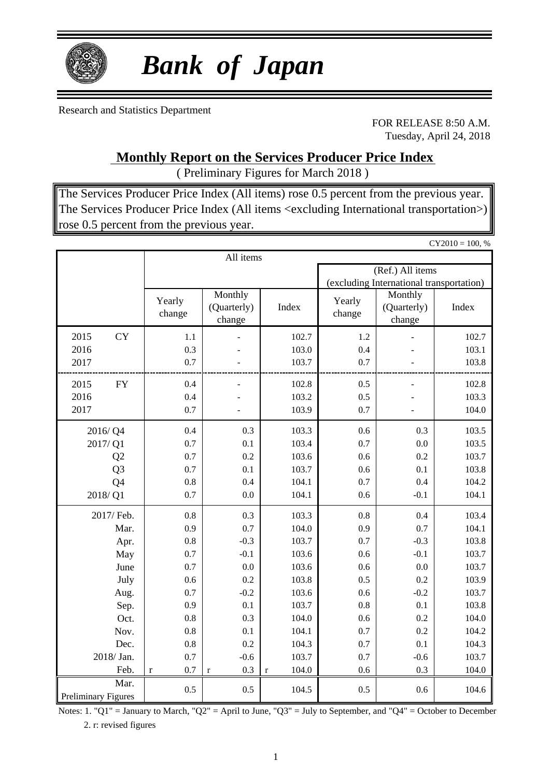

# *Bank of Japan*

Research and Statistics Department

FOR RELEASE 8:50 A.M. Tuesday, April 24, 2018

 $CY2010 = 100, %$ 

### **Monthly Report on the Services Producer Price Index**

( Preliminary Figures for March 2018 )

The Services Producer Price Index (All items) rose 0.5 percent from the previous year. The Services Producer Price Index (All items <excluding International transportation>) rose 0.5 percent from the previous year.

|                            |                |                    | All items                        |                      |                  |                                          |       |
|----------------------------|----------------|--------------------|----------------------------------|----------------------|------------------|------------------------------------------|-------|
|                            |                |                    |                                  |                      |                  | (Ref.) All items                         |       |
|                            |                |                    |                                  |                      |                  | (excluding International transportation) |       |
|                            |                | Yearly<br>change   | Monthly<br>(Quarterly)<br>change | Index                | Yearly<br>change | Monthly<br>(Quarterly)<br>change         | Index |
| 2015                       | <b>CY</b>      | 1.1                |                                  | 102.7                | 1.2              |                                          | 102.7 |
| 2016                       |                | 0.3                |                                  | 103.0                | 0.4              |                                          | 103.1 |
| 2017                       |                | 0.7                |                                  | 103.7                | 0.7              |                                          | 103.8 |
| 2015                       | <b>FY</b>      | 0.4                |                                  | 102.8                | 0.5              |                                          | 102.8 |
| 2016                       |                | 0.4                |                                  | 103.2                | 0.5              |                                          | 103.3 |
| 2017                       |                | 0.7                |                                  | 103.9                | 0.7              |                                          | 104.0 |
| 2016/Q4                    |                | 0.4                | 0.3                              | 103.3                | 0.6              | 0.3                                      | 103.5 |
| 2017/Q1                    |                | 0.7                | 0.1                              | 103.4                | 0.7              | 0.0                                      | 103.5 |
|                            | Q2             | 0.7                | 0.2                              | 103.6                | 0.6              | 0.2                                      | 103.7 |
|                            | Q <sub>3</sub> | 0.7                | 0.1                              | 103.7                | 0.6              | 0.1                                      | 103.8 |
|                            | Q4             | 0.8                | 0.4                              | 104.1                | 0.7              | 0.4                                      | 104.2 |
| 2018/Q1                    |                | 0.7                | 0.0                              | 104.1                | 0.6              | $-0.1$                                   | 104.1 |
|                            | 2017/ Feb.     | 0.8                | 0.3                              | 103.3                | 0.8              | 0.4                                      | 103.4 |
|                            | Mar.           | 0.9                | 0.7                              | 104.0                | 0.9              | 0.7                                      | 104.1 |
|                            | Apr.           | 0.8                | $-0.3$                           | 103.7                | 0.7              | $-0.3$                                   | 103.8 |
|                            | May            | 0.7                | $-0.1$                           | 103.6                | 0.6              | $-0.1$                                   | 103.7 |
|                            | June           | 0.7                | 0.0                              | 103.6                | 0.6              | 0.0                                      | 103.7 |
|                            | July           | 0.6                | 0.2                              | 103.8                | 0.5              | 0.2                                      | 103.9 |
|                            | Aug.           | 0.7                | $-0.2$                           | 103.6                | 0.6              | $-0.2$                                   | 103.7 |
|                            | Sep.           | 0.9                | 0.1                              | 103.7                | 0.8              | 0.1                                      | 103.8 |
|                            | Oct.           | 0.8                | 0.3                              | 104.0                | 0.6              | 0.2                                      | 104.0 |
|                            | Nov.           | 0.8                | 0.1                              | 104.1                | 0.7              | 0.2                                      | 104.2 |
|                            | Dec.           | $0.8\,$            | 0.2                              | 104.3                | 0.7              | 0.1                                      | 104.3 |
|                            | 2018/ Jan.     | 0.7                | $-0.6$                           | 103.7                | 0.7              | $-0.6$                                   | 103.7 |
|                            | Feb.           | 0.7<br>$\mathbf r$ | 0.3<br>$\mathbf r$               | 104.0<br>$\mathbf r$ | 0.6              | 0.3                                      | 104.0 |
| <b>Preliminary Figures</b> | Mar.           | 0.5                | 0.5                              | 104.5                | 0.5              | 0.6                                      | 104.6 |

Notes: 1. "Q1" = January to March, "Q2" = April to June, "Q3" = July to September, and "Q4" = October to December 2. r: revised figures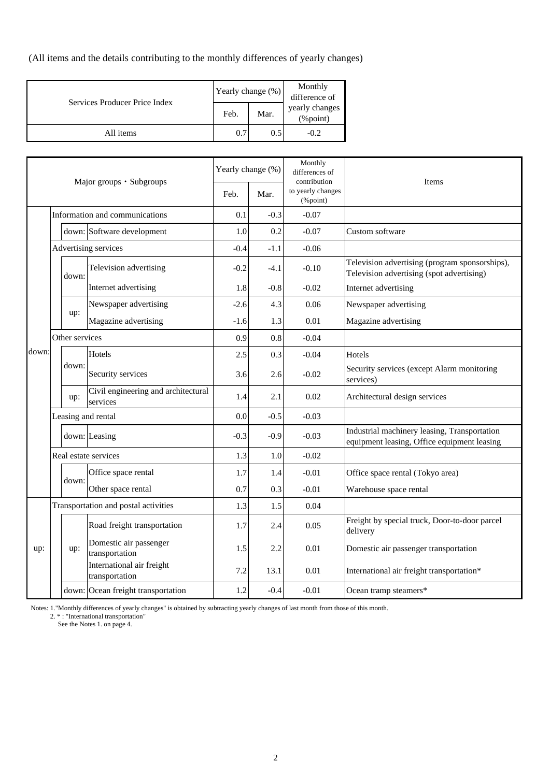(All items and the details contributing to the monthly differences of yearly changes)

|                               | Yearly change (%) |      | Monthly<br>difference of       |  |
|-------------------------------|-------------------|------|--------------------------------|--|
| Services Producer Price Index | Feb.              | Mar. | yearly changes<br>$(\%$ point) |  |
| All items                     | 0.7               | 0.5  | $-0.2$                         |  |

|       |                |                             | Major groups · Subgroups                        |        | Yearly change (%) | Monthly<br>differences of<br>contribution            | Items                                                                                       |
|-------|----------------|-----------------------------|-------------------------------------------------|--------|-------------------|------------------------------------------------------|---------------------------------------------------------------------------------------------|
|       |                |                             |                                                 | Feb.   | Mar.              | to yearly changes<br>$(% \mathcal{L}_{0})$ (% point) |                                                                                             |
|       |                |                             | Information and communications                  | 0.1    | $-0.3$            | $-0.07$                                              |                                                                                             |
|       |                |                             | down: Software development                      | 1.0    | 0.2               | $-0.07$                                              | Custom software                                                                             |
|       |                |                             | Advertising services                            | $-0.4$ | $-1.1$            | $-0.06$                                              |                                                                                             |
|       |                | down:                       | Television advertising                          | $-0.2$ | $-4.1$            | $-0.10$                                              | Television advertising (program sponsorships),<br>Television advertising (spot advertising) |
|       |                | Internet advertising        |                                                 | 1.8    | $-0.8$            | $-0.02$                                              | Internet advertising                                                                        |
|       |                |                             | Newspaper advertising                           | $-2.6$ | 4.3               | 0.06                                                 | Newspaper advertising                                                                       |
|       |                | up:<br>Magazine advertising |                                                 | $-1.6$ | 1.3               | 0.01                                                 | Magazine advertising                                                                        |
|       | Other services |                             | 0.9                                             | 0.8    | $-0.04$           |                                                      |                                                                                             |
| down: |                |                             | Hotels                                          | 2.5    | 0.3               | $-0.04$                                              | <b>Hotels</b>                                                                               |
|       |                | down:                       | Security services                               | 3.6    | 2.6               | $-0.02$                                              | Security services (except Alarm monitoring<br>services)                                     |
|       |                | up:                         | Civil engineering and architectural<br>services | 1.4    | 2.1               | 0.02                                                 | Architectural design services                                                               |
|       |                |                             | Leasing and rental                              | 0.0    | $-0.5$            | $-0.03$                                              |                                                                                             |
|       |                |                             | down: Leasing                                   | $-0.3$ | $-0.9$            | $-0.03$                                              | Industrial machinery leasing, Transportation<br>equipment leasing, Office equipment leasing |
|       |                |                             | Real estate services                            | 1.3    | 1.0               | $-0.02$                                              |                                                                                             |
|       |                | down:                       | Office space rental                             | 1.7    | 1.4               | $-0.01$                                              | Office space rental (Tokyo area)                                                            |
|       |                |                             | Other space rental                              | 0.7    | 0.3               | $-0.01$                                              | Warehouse space rental                                                                      |
|       |                |                             | Transportation and postal activities            | 1.3    | 1.5               | 0.04                                                 |                                                                                             |
|       |                |                             | Road freight transportation                     | 1.7    | 2.4               | 0.05                                                 | Freight by special truck, Door-to-door parcel<br>delivery                                   |
| up:   |                | up:                         | Domestic air passenger<br>transportation        | 1.5    | 2.2               | 0.01                                                 | Domestic air passenger transportation                                                       |
|       |                |                             | International air freight<br>transportation     | 7.2    | 13.1              | 0.01                                                 | International air freight transportation*                                                   |
|       |                |                             | down: Ocean freight transportation              | 1.2    | $-0.4$            | $-0.01$                                              | Ocean tramp steamers*                                                                       |

Notes: 1."Monthly differences of yearly changes" is obtained by subtracting yearly changes of last month from those of this month.

2. \* : "International transportation"

See the Notes 1. on page 4.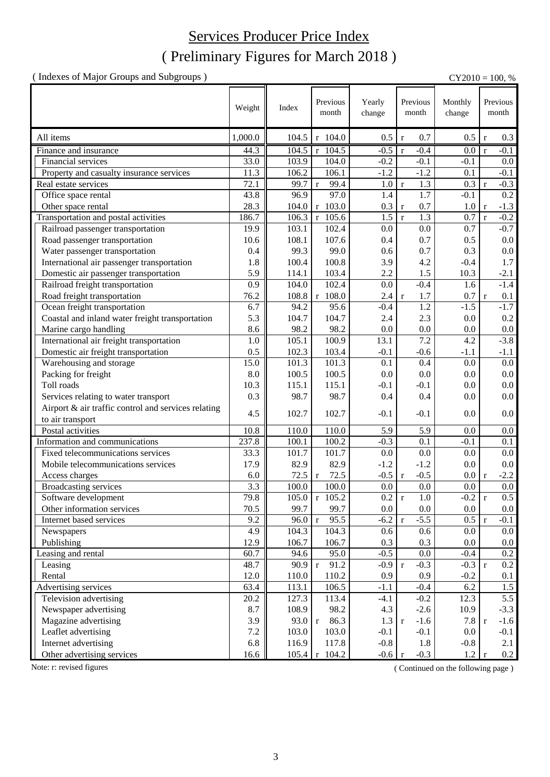# ( Preliminary Figures for March 2018 ) Services Producer Price Index

( Indexes of Major Groups and Subgroups ) CY2010 = 100, %

|                                                     |            |                | Previous                      |                  | Previous                     |               |              | Previous         |
|-----------------------------------------------------|------------|----------------|-------------------------------|------------------|------------------------------|---------------|--------------|------------------|
|                                                     | Weight     | Index          | month                         | Yearly<br>change | month                        | Monthly       |              | month            |
|                                                     |            |                |                               |                  |                              | change        |              |                  |
| All items                                           | 1,000.0    | 104.5          | r 104.0                       | 0.5              | 0.7<br>$\mathbf r$           | 0.5           | $\mathbf{r}$ | 0.3              |
| Finance and insurance                               | 44.3       | 104.5          | $r$ 104.5                     | $-0.5$           | $-0.4$<br>$\mathbf{r}$       | 0.0           | $\mathbf{r}$ | $-0.1$           |
| Financial services                                  | 33.0       | 103.9          | 104.0                         | $-0.2$           | $-0.1$                       | $-0.1$        |              | 0.0              |
| Property and casualty insurance services            | 11.3       | 106.2          | 106.1                         | $-1.2$           | $-1.2$                       | 0.1           |              | $-0.1$           |
| Real estate services                                | 72.1       | 99.7           | 99.4<br>$\mathbf{r}$          | 1.0              | 1.3<br>$\mathbf r$           | 0.3           | $\mathbf{r}$ | $-0.3$           |
| Office space rental                                 | 43.8       | 96.9           | 97.0                          | 1.4              | 1.7                          | $-0.1$        |              | $\overline{0.2}$ |
| Other space rental                                  | 28.3       | 104.0          | r 103.0                       | 0.3              | 0.7<br>$\mathbf r$           | 1.0           | $\mathbf{r}$ | $-1.3$           |
| Transportation and postal activities                | 186.7      | 106.3          | $r$ 105.6                     | 1.5              | 1.3<br>$\mathbf{r}$          | 0.7           | $\mathbf{r}$ | $-0.2$           |
| Railroad passenger transportation                   | 19.9       | 103.1          | 102.4                         | 0.0              | 0.0                          | 0.7           |              | $-0.7$           |
| Road passenger transportation                       | 10.6       | 108.1          | 107.6                         | 0.4              | 0.7                          | 0.5           |              | $0.0\,$          |
| Water passenger transportation                      | 0.4        | 99.3           | 99.0                          | 0.6              | 0.7                          | 0.3           |              | 0.0              |
| International air passenger transportation          | 1.8        | 100.4          | 100.8                         | 3.9              | 4.2                          | $-0.4$        |              | 1.7              |
| Domestic air passenger transportation               | 5.9        | 114.1          | 103.4                         | 2.2              | 1.5                          | 10.3          |              | $-2.1$           |
| Railroad freight transportation                     | 0.9        | 104.0          | 102.4                         | 0.0              | $-0.4$                       | 1.6           |              | $-1.4$           |
| Road freight transportation                         | 76.2       | 108.8          | r 108.0                       | 2.4              | 1.7<br>$\mathbf r$           | 0.7           | $\mathbf r$  | 0.1              |
| Ocean freight transportation                        | 6.7        | 94.2           | 95.6                          | $-0.4$           | 1.2                          | $-1.5$        |              | $-1.7$           |
| Coastal and inland water freight transportation     | 5.3        | 104.7          | 104.7                         | 2.4              | 2.3                          | 0.0           |              | 0.2              |
| Marine cargo handling                               | 8.6        | 98.2           | 98.2                          | 0.0              | 0.0                          | 0.0           |              | $0.0\,$          |
| International air freight transportation            | 1.0        | 105.1          | 100.9                         | 13.1             | 7.2                          | 4.2           |              | $-3.8$           |
| Domestic air freight transportation                 | 0.5        | 102.3          | 103.4                         | $-0.1$           | $-0.6$                       | $-1.1$        |              | $-1.1$           |
| Warehousing and storage                             | 15.0       | 101.3          | 101.3                         | 0.1              | 0.4                          | 0.0           |              | $0.0\,$          |
| Packing for freight                                 | 8.0        | 100.5          | 100.5                         | 0.0              | 0.0                          | 0.0           |              | $0.0\,$          |
| Toll roads                                          | 10.3       | 115.1          | 115.1                         | $-0.1$           | $-0.1$                       | 0.0           |              | 0.0              |
| Services relating to water transport                | 0.3        | 98.7           | 98.7                          | 0.4              | 0.4                          | 0.0           |              | $0.0\,$          |
| Airport & air traffic control and services relating |            |                |                               |                  |                              |               |              |                  |
|                                                     | 4.5        | 102.7          | 102.7                         | $-0.1$           | $-0.1$                       | 0.0           |              | 0.0              |
| to air transport<br>Postal activities               | 10.8       |                | 110.0                         | 5.9              | 5.9                          | 0.0           |              |                  |
| Information and communications                      | 237.8      | 110.0<br>100.1 | 100.2                         | $-0.3$           | 0.1                          | $-0.1$        |              | $0.0\,$          |
| Fixed telecommunications services                   | 33.3       | 101.7          | 101.7                         | 0.0              | 0.0                          | 0.0           |              | 0.1<br>0.0       |
| Mobile telecommunications services                  | 17.9       |                |                               | $-1.2$           | $-1.2$                       |               |              |                  |
|                                                     |            | 82.9           | 82.9                          |                  |                              | 0.0           |              | 0.0              |
| Access charges<br><b>Broadcasting services</b>      | 6.0<br>3.3 | 72.5<br>100.0  | 72.5<br>$\mathbf{r}$<br>100.0 | $-0.5$<br>0.0    | $-0.5$<br>$\mathbf r$<br>0.0 | 0.0<br>0.0    | $\mathbf{r}$ | $-2.2$<br>0.0    |
|                                                     |            | 105.0          | $r$ 105.2                     |                  |                              |               |              |                  |
| Software development                                | 79.8       |                |                               | 0.2 r            | 1.0                          | $-0.2 \mid r$ |              | 0.5              |
| Other information services                          | 70.5       | 99.7           | 99.7                          | 0.0              | 0.0                          | $0.0\,$       |              | 0.0              |
| Internet based services                             | 9.2        | 96.0           | 95.5<br>$\mathbf r$           | $-6.2$           | $-5.5$<br>$\mathbf r$        | 0.5           | $\mathbf r$  | $-0.1$           |
| Newspapers                                          | 4.9        | 104.3          | 104.3                         | 0.6              | 0.6                          | 0.0           |              | 0.0              |
| Publishing                                          | 12.9       | 106.7          | 106.7                         | 0.3              | 0.3                          | 0.0           |              | $0.0\,$          |
| Leasing and rental                                  | 60.7       | 94.6           | 95.0                          | $-0.5$           | 0.0                          | $-0.4$        |              | 0.2              |
| Leasing                                             | 48.7       | 90.9           | 91.2<br>$r_{\parallel}$       | $-0.9$           | $-0.3$<br>$\mathbf r$        | $-0.3 r$      |              | 0.2              |
| Rental                                              | 12.0       | 110.0          | 110.2                         | 0.9              | 0.9                          | $-0.2$        |              | 0.1              |
| Advertising services                                | 63.4       | 113.1          | 106.5                         | $-1.1$           | $-0.4$                       | 6.2           |              | 1.5              |
| Television advertising                              | 20.2       | 127.3          | 113.4                         | $-4.1$           | $-0.2$                       | 12.3          |              | 5.5              |
| Newspaper advertising                               | 8.7        | 108.9          | 98.2                          | 4.3              | $-2.6$                       | 10.9          |              | $-3.3$           |
| Magazine advertising                                | 3.9        | 93.0           | 86.3<br>$r_{\parallel}$       | 1.3              | $-1.6$<br>$\mathbf{r}$       | 7.8           | $\mathbf{r}$ | $-1.6$           |
| Leaflet advertising                                 | 7.2        | 103.0          | 103.0                         | $-0.1$           | $-0.1$                       | 0.0           |              | $-0.1$           |
| Internet advertising                                | 6.8        | 116.9          | 117.8                         | $-0.8$           | 1.8                          | $-0.8$        |              | 2.1              |
| Other advertising services                          | 16.6       | 105.4          | $r$ 104.2                     | $-0.6$           | $-0.3$<br>$\mathbf r$        | 1.2           | $\mathbf{r}$ | 0.2              |

Note: r: revised figures (Continued on the following page)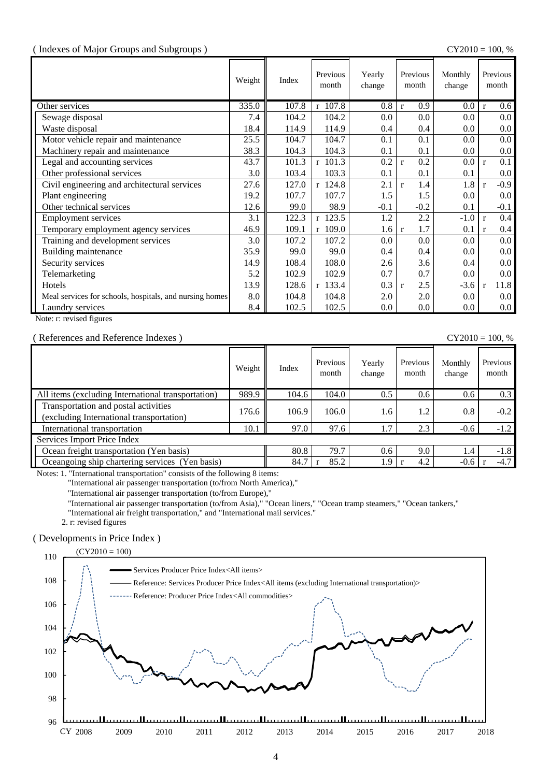#### ( Indexes of Major Groups and Subgroups ) CY2010 = 100, %

|                                                         | Weight | Index | Previous<br>month | Yearly<br>change | Previous<br>month   | Monthly<br>change | Previous<br>month                |
|---------------------------------------------------------|--------|-------|-------------------|------------------|---------------------|-------------------|----------------------------------|
| Other services                                          | 335.0  | 107.8 | r 107.8           | 0.8              | 0.9<br>$\mathbf{r}$ | $0.0\,$           | 0.6 <sub>1</sub><br>$\mathbf{r}$ |
| Sewage disposal                                         | 7.4    | 104.2 | 104.2             | 0.0              | 0.0                 | 0.0               | 0.0 <sub>1</sub>                 |
| Waste disposal                                          | 18.4   | 114.9 | 114.9             | 0.4              | 0.4                 | 0.0               | $0.0\,$                          |
| Motor vehicle repair and maintenance                    | 25.5   | 104.7 | 104.7             | 0.1              | 0.1                 | 0.0               | $0.0\,$                          |
| Machinery repair and maintenance                        | 38.3   | 104.3 | 104.3             | 0.1              | 0.1                 | 0.0               | $0.0\,$                          |
| Legal and accounting services                           | 43.7   | 101.3 | $r$ 101.3         | 0.2              | 0.2<br>$\mathbf{r}$ | $0.0\,$           | 0.1<br>$\mathbf{r}$              |
| Other professional services                             | 3.0    | 103.4 | 103.3             | 0.1              | 0.1                 | 0.1               | $0.0\,$                          |
| Civil engineering and architectural services            | 27.6   | 127.0 | $r$ 124.8         | 2.1              | 1.4<br>$\mathbf{r}$ | 1.8               | $-0.9$<br>$\mathbf{r}$           |
| Plant engineering                                       | 19.2   | 107.7 | 107.7             | 1.5              | 1.5                 | 0.0               | $0.0\,$                          |
| Other technical services                                | 12.6   | 99.0  | 98.9              | $-0.1$           | $-0.2$              | 0.1               | $-0.1$                           |
| <b>Employment services</b>                              | 3.1    | 122.3 | $r$ 123.5         | 1.2              | 2.2                 | $-1.0$            | 0.4<br>$\mathbf{r}$              |
| Temporary employment agency services                    | 46.9   | 109.1 | $r$ 109.0         | 1.6              | 1.7<br>$\mathbf{r}$ | 0.1               | $0.4\,$<br>r                     |
| Training and development services                       | 3.0    | 107.2 | 107.2             | 0.0              | 0.0                 | 0.0               | 0.0 <sub>1</sub>                 |
| Building maintenance                                    | 35.9   | 99.0  | 99.0              | 0.4              | 0.4                 | 0.0               | $0.0\,$                          |
| Security services                                       | 14.9   | 108.4 | 108.0             | 2.6              | 3.6                 | 0.4               | $0.0\,$                          |
| Telemarketing                                           | 5.2    | 102.9 | 102.9             | 0.7              | 0.7                 | 0.0               | $0.0\,$                          |
| Hotels                                                  | 13.9   | 128.6 | r 133.4           | 0.3              | 2.5<br>$\mathbf{r}$ | $-3.6$            | 11.8<br>$\mathbf{r}$             |
| Meal services for schools, hospitals, and nursing homes | 8.0    | 104.8 | 104.8             | 2.0              | 2.0                 | 0.0               | $0.0\,$                          |
| Laundry services                                        | 8.4    | 102.5 | 102.5             | 0.0              | 0.0                 | 0.0               | $0.0\,$                          |

Note: r: revised figures

#### ( References and Reference Indexes ) CY2010 = 100, %

|                                                                                  | Weight | Index | Previous<br>month | Yearly<br>change | Previous<br>month | Monthly<br>change | Previous<br>month |
|----------------------------------------------------------------------------------|--------|-------|-------------------|------------------|-------------------|-------------------|-------------------|
| All items (excluding International transportation)                               | 989.9  | 104.6 | 104.0             | 0.5              | 0.6               | 0.6               | 0.3               |
| Transportation and postal activities<br>(excluding International transportation) | 176.6  | 106.9 | 106.0             | 1.6              | 1.2               | 0.8               | $-0.2$            |
| International transportation                                                     | 10.1   | 97.0  | 97.6              | 1.7              | 2.3               | $-0.6$            | $-1.2$            |
| Services Import Price Index                                                      |        |       |                   |                  |                   |                   |                   |
| Ocean freight transportation (Yen basis)                                         |        | 80.8  | 79.7              | $0.6^{\circ}$    | 9.0               | 1.4               | $-1.8$            |
| Oceangoing ship chartering services (Yen basis)                                  |        | 84.7  | 85.2              | 1.9              | 4.2               | $-0.6$            | $-4.7$            |

Notes: 1. "International transportation" consists of the following 8 items:

"International air passenger transportation (to/from North America),"

"International air passenger transportation (to/from Europe),"

"International air passenger transportation (to/from Asia)," "Ocean liners," "Ocean tramp steamers," "Ocean tankers,"

"International air freight transportation," and "International mail services."

2. r: revised figures

### ( Developments in Price Index )

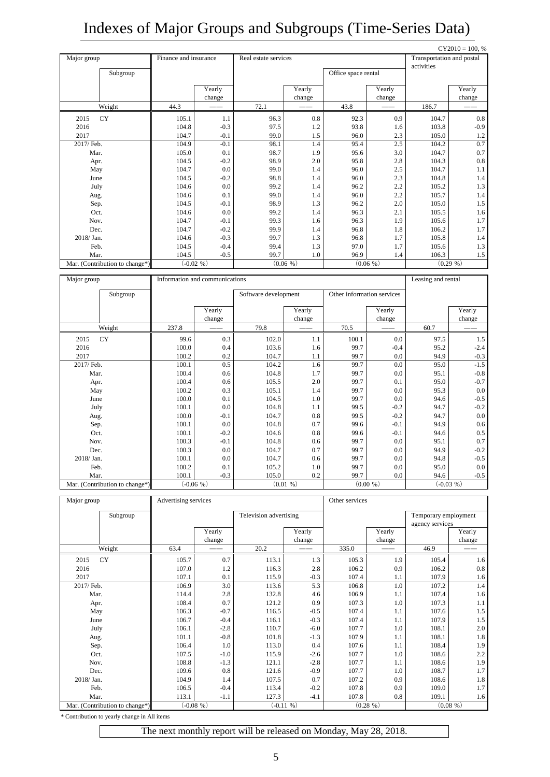# Indexes of Major Groups and Subgroups (Time-Series Data)

|                                |                                |                  |                      |                  |                     |                  |                           | $CY2010 = 100, %$ |  |
|--------------------------------|--------------------------------|------------------|----------------------|------------------|---------------------|------------------|---------------------------|-------------------|--|
| Major group                    | Finance and insurance          |                  | Real estate services |                  |                     |                  | Transportation and postal |                   |  |
| Subgroup                       |                                |                  |                      |                  | Office space rental |                  | activities                |                   |  |
|                                |                                | Yearly<br>change |                      | Yearly<br>change |                     | Yearly<br>change |                           | Yearly<br>change  |  |
| Weight                         | 44.3                           |                  | 72.1                 |                  | 43.8                |                  | 186.7                     |                   |  |
| 2015<br><b>CY</b>              | 105.1                          | 1.1              | 96.3                 | 0.8              | 92.3                | 0.9              | 104.7                     | 0.8               |  |
| 2016                           | 104.8                          | $-0.3$           | 97.5                 | 1.2              | 93.8                | 1.6              | 103.8                     | $-0.9$            |  |
| 2017                           | 104.7                          | $-0.1$           | 99.0                 | 1.5              | 96.0                | 2.3              | 105.0                     | 1.2               |  |
| 2017/ Feb.                     | 104.9                          | $-0.1$           | 98.1                 | 1.4              | 95.4                | 2.5              | 104.2                     | 0.7               |  |
| Mar.                           | 105.0                          | 0.1              | 98.7                 | 1.9              | 95.6                | 3.0              | 104.7                     | 0.7               |  |
| Apr.                           | 104.5                          | $-0.2$           | 98.9                 | 2.0              | 95.8                | 2.8              | 104.3                     | $0.8\,$           |  |
| May                            | 104.7                          | 0.0              | 99.0                 | 1.4              | 96.0                | 2.5              | 104.7                     | 1.1               |  |
| June                           | 104.5                          | $-0.2$           | 98.8                 | 1.4              | 96.0                | 2.3              | 104.8                     | 1.4               |  |
| July                           | 104.6                          | 0.0              | 99.2                 | 1.4              | 96.2                | 2.2              | 105.2                     | 1.3               |  |
| Aug.                           | 104.6                          | 0.1              | 99.0                 | 1.4              | 96.0                | 2.2              | 105.7                     | 1.4               |  |
| Sep.                           | 104.5                          | $-0.1$           | 98.9                 | 1.3              | 96.2                | 2.0              | 105.0                     | 1.5               |  |
| Oct.                           | 104.6                          | 0.0              | 99.2                 | 1.4              | 96.3                | 2.1              | 105.5                     | 1.6               |  |
| Nov.                           | 104.7                          | $-0.1$           | 99.3                 | 1.6              | 96.3                | 1.9              | 105.6                     | 1.7               |  |
| Dec.                           | 104.7                          | $-0.2$           | 99.9                 | 1.4              | 96.8                | 1.8              | 106.2                     | 1.7               |  |
| 2018/Jan.                      | 104.6                          | $-0.3$           | 99.7                 | 1.3              | 96.8                | 1.7              | 105.8                     | 1.4               |  |
| Feb.                           | 104.5                          | $-0.4$           | 99.4                 | 1.3              | 97.0                | 1.7              | 105.6                     | 1.3               |  |
| Mar.                           | 104.5                          | $-0.5$           | 99.7                 | 1.0              | 96.9                | 1.4              | 106.3                     | 1.5               |  |
| Mar. (Contribution to change*) | $(-0.02, % )$                  |                  |                      | $(0.06\% )$      |                     | $(0.06\% )$      |                           | $(0.29\% )$       |  |
| Major group                    | Information and communications |                  |                      |                  |                     |                  | Leasing and rental        |                   |  |

| Subgroup                       |       |                  | Software development |                  | Other information services |                  |      |                  |
|--------------------------------|-------|------------------|----------------------|------------------|----------------------------|------------------|------|------------------|
|                                |       | Yearly<br>change |                      | Yearly<br>change |                            | Yearly<br>change |      | Yearly<br>change |
| Weight                         | 237.8 |                  | 79.8                 |                  | 70.5                       |                  | 60.7 |                  |
| CY<br>2015                     | 99.6  | 0.3              | 102.0                | 1.1              | 100.1                      | 0.0              | 97.5 | 1.5              |
| 2016                           | 100.0 | 0.4              | 103.6                | 1.6              | 99.7                       | $-0.4$           | 95.2 | $-2.4$           |
| 2017                           | 100.2 | 0.2              | 104.7                | 1.1              | 99.7                       | 0.0              | 94.9 | $-0.3$           |
| 2017/ Feb.                     | 100.1 | 0.5              | 104.2                | 1.6              | 99.7                       | 0.0              | 95.0 | $-1.5$           |
| Mar.                           | 100.4 | 0.6              | 104.8                | 1.7              | 99.7                       | 0.0              | 95.1 | $-0.8$           |
| Apr.                           | 100.4 | 0.6              | 105.5                | 2.0              | 99.7                       | 0.1              | 95.0 | $-0.7$           |
| May                            | 100.2 | 0.3              | 105.1                | 1.4              | 99.7                       | 0.0              | 95.3 | 0.0              |
| June                           | 100.0 | 0.1              | 104.5                | 1.0              | 99.7                       | 0.0              | 94.6 | $-0.5$           |
| July                           | 100.1 | 0.0              | 104.8                | 1.1              | 99.5                       | $-0.2$           | 94.7 | $-0.2$           |
| Aug.                           | 100.0 | $-0.1$           | 104.7                | 0.8              | 99.5                       | $-0.2$           | 94.7 | 0.0              |
| Sep.                           | 100.1 | 0.0              | 104.8                | 0.7              | 99.6                       | $-0.1$           | 94.9 | 0.6              |
| Oct.                           | 100.1 | $-0.2$           | 104.6                | 0.8              | 99.6                       | $-0.1$           | 94.6 | 0.5              |
| Nov.                           | 100.3 | $-0.1$           | 104.8                | 0.6              | 99.7                       | 0.0              | 95.1 | 0.7              |
| Dec.                           | 100.3 | 0.0              | 104.7                | 0.7              | 99.7                       | 0.0              | 94.9 | $-0.2$           |
| 2018/ Jan.                     | 100.1 | 0.0              | 104.7                | 0.6              | 99.7                       | 0.0              | 94.8 | $-0.5$           |
| Feb.                           | 100.2 | 0.1              | 105.2                | 1.0              | 99.7                       | 0.0              | 95.0 | 0.0              |
| Mar.                           | 100.1 | $-0.3$           | 105.0                | 0.2              | 99.7                       | 0.0              | 94.6 | $-0.5$           |
| Mar. (Contribution to change*) |       | $(-0.06, % )$    |                      | (0.01, % )       |                            | $(0.00\% )$      |      | $(-0.03\% )$     |

| Major group                    | Advertising services |        |                        |               | Other services |            |                      |            |  |
|--------------------------------|----------------------|--------|------------------------|---------------|----------------|------------|----------------------|------------|--|
| Subgroup                       |                      |        | Television advertising |               |                |            | Temporary employment |            |  |
|                                |                      |        |                        |               |                |            | agency services      |            |  |
|                                |                      | Yearly |                        | Yearly        |                | Yearly     |                      | Yearly     |  |
|                                |                      | change |                        | change        |                | change     |                      | change     |  |
| Weight                         | 63.4                 |        | 20.2                   |               | 335.0          |            | 46.9                 |            |  |
| CY<br>2015                     | 105.7                | 0.7    | 113.1                  | 1.3           | 105.3          | 1.9        | 105.4                | 1.6        |  |
| 2016                           | 107.0                | 1.2    | 116.3                  | 2.8           | 106.2          | 0.9        | 106.2                | 0.8        |  |
| 2017                           | 107.1                | 0.1    | 115.9                  | $-0.3$        | 107.4          | 1.1        | 107.9                | 1.6        |  |
| 2017/ Feb.                     | 106.9                | 3.0    | 113.6                  | 5.3           | 106.8          | 1.0        | 107.2                | 1.4        |  |
| Mar.                           | 114.4                | 2.8    | 132.8                  | 4.6           | 106.9          | 1.1        | 107.4                | 1.6        |  |
| Apr.                           | 108.4                | 0.7    | 121.2                  | 0.9           | 107.3          | 1.0        | 107.3                | 1.1        |  |
| May                            | 106.3                | $-0.7$ | 116.5                  | $-0.5$        | 107.4          | 1.1        | 107.6                | 1.5        |  |
| June                           | 106.7                | $-0.4$ | 116.1                  | $-0.3$        | 107.4          | 1.1        | 107.9                | 1.5        |  |
| July                           | 106.1                | $-2.8$ | 110.7                  | $-6.0$        | 107.7          | 1.0        | 108.1                | 2.0        |  |
| Aug.                           | 101.1                | $-0.8$ | 101.8                  | $-1.3$        | 107.9          | 1.1        | 108.1                | 1.8        |  |
| Sep.                           | 106.4                | 1.0    | 113.0                  | 0.4           | 107.6          | 1.1        | 108.4                | 1.9        |  |
| Oct.                           | 107.5                | $-1.0$ | 115.9                  | $-2.6$        | 107.7          | 1.0        | 108.6                | 2.2        |  |
| Nov.                           | 108.8                | $-1.3$ | 121.1                  | $-2.8$        | 107.7          | 1.1        | 108.6                | 1.9        |  |
| Dec.                           | 109.6                | 0.8    | 121.6                  | $-0.9$        | 107.7          | 1.0        | 108.7                | 1.7        |  |
| 2018/ Jan.                     | 104.9                | 1.4    | 107.5                  | 0.7           | 107.2          | 0.9        | 108.6                | 1.8        |  |
| Feb.                           | 106.5                | $-0.4$ | 113.4                  | $-0.2$        | 107.8          | 0.9        | 109.0                | 1.7        |  |
| Mar.                           | 113.1                | $-1.1$ | 127.3                  | $-4.1$        | 107.8          | 0.8        | 109.1                | 1.6        |  |
| Mar. (Contribution to change*) | $(-0.08, 96)$        |        |                        | $(-0.11, 96)$ |                | (0.28, % ) |                      | (0.08, 96) |  |

\* Contribution to yearly change in All items

The next monthly report will be released on Monday, May 28, 2018.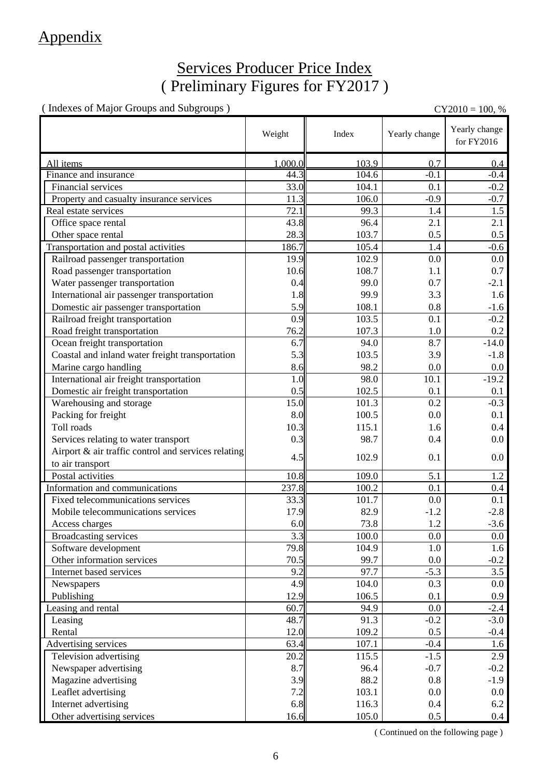## Appendix

### Services Producer Price Index ( Preliminary Figures for FY2017 )

( Indexes of Major Groups and Subgroups ) CY2010 = 100, %

|                                                     | Weight  | Index | Yearly change | Yearly change<br>for FY2016 |
|-----------------------------------------------------|---------|-------|---------------|-----------------------------|
| All items                                           | 1.000.0 | 103.9 | 0.7           | 0.4                         |
| Finance and insurance                               | 44.3    | 104.6 | $-0.1$        | $-0.4$                      |
| Financial services                                  | 33.0    | 104.1 | 0.1           | $-0.2$                      |
| Property and casualty insurance services            | 11.3    | 106.0 | $-0.9$        | $-0.7$                      |
| Real estate services                                | 72.1    | 99.3  | 1.4           | 1.5                         |
| Office space rental                                 | 43.8    | 96.4  | 2.1           | 2.1                         |
| Other space rental                                  | 28.3    | 103.7 | 0.5           | 0.5                         |
| Transportation and postal activities                | 186.7   | 105.4 | 1.4           | $-0.6$                      |
| Railroad passenger transportation                   | 19.9    | 102.9 | 0.0           | $0.0\,$                     |
| Road passenger transportation                       | 10.6    | 108.7 | 1.1           | 0.7                         |
| Water passenger transportation                      | 0.4     | 99.0  | 0.7           | $-2.1$                      |
| International air passenger transportation          | 1.8     | 99.9  | 3.3           | 1.6                         |
| Domestic air passenger transportation               | 5.9     | 108.1 | 0.8           | $-1.6$                      |
| Railroad freight transportation                     | 0.9     | 103.5 | 0.1           | $-0.2$                      |
| Road freight transportation                         | 76.2    | 107.3 | 1.0           | $0.2\,$                     |
| Ocean freight transportation                        | 6.7     | 94.0  | 8.7           | $-14.0$                     |
| Coastal and inland water freight transportation     | 5.3     | 103.5 | 3.9           | $-1.8$                      |
| Marine cargo handling                               | 8.6     | 98.2  | 0.0           | $0.0\,$                     |
| International air freight transportation            | 1.0     | 98.0  | 10.1          | $-19.2$                     |
| Domestic air freight transportation                 | 0.5     | 102.5 | 0.1           | 0.1                         |
| Warehousing and storage                             | 15.0    | 101.3 | 0.2           | $-0.3$                      |
| Packing for freight                                 | 8.0     | 100.5 | 0.0           | 0.1                         |
| Toll roads                                          | 10.3    | 115.1 | 1.6           | 0.4                         |
| Services relating to water transport                | 0.3     | 98.7  | 0.4           | $0.0\,$                     |
| Airport & air traffic control and services relating |         |       |               |                             |
| to air transport                                    | 4.5     | 102.9 | 0.1           | $0.0\,$                     |
| Postal activities                                   | 10.8    | 109.0 | 5.1           | 1.2                         |
| Information and communications                      | 237.8   | 100.2 | 0.1           | 0.4                         |
| Fixed telecommunications services                   | 33.3    | 101.7 | 0.0           | 0.1                         |
| Mobile telecommunications services                  | 17.9    | 82.9  | $-1.2$        | $-2.8$                      |
| Access charges                                      | 6.0     | 73.8  | 1.2           | $-3.6$                      |
| Broadcasting services                               | 3.3     | 100.0 | $0.0\,$       | $0.0\,$                     |
| Software development                                | 79.8    | 104.9 | 1.0           | 1.6                         |
| Other information services                          | 70.5    | 99.7  | 0.0           | $-0.2$                      |
| Internet based services                             | 9.2     | 97.7  | $-5.3$        | 3.5                         |
| Newspapers                                          | 4.9     | 104.0 | 0.3           | $0.0\,$                     |
| Publishing                                          | 12.9    | 106.5 | 0.1           | 0.9                         |
| Leasing and rental                                  | 60.7    | 94.9  | 0.0           | $-2.4$                      |
| Leasing                                             | 48.7    | 91.3  | $-0.2$        | $-3.0$                      |
| Rental                                              | 12.0    | 109.2 | 0.5           | $-0.4$                      |
| Advertising services                                | 63.4    | 107.1 | $-0.4$        | 1.6                         |
| Television advertising                              | 20.2    | 115.5 | $-1.5$        | 2.9                         |
| Newspaper advertising                               | 8.7     | 96.4  | $-0.7$        | $-0.2$                      |
| Magazine advertising                                | 3.9     | 88.2  | 0.8           | $-1.9$                      |
| Leaflet advertising                                 | 7.2     | 103.1 | 0.0           | $0.0\,$                     |
| Internet advertising                                | 6.8     | 116.3 | 0.4           | 6.2                         |
| Other advertising services                          | 16.6    | 105.0 | $0.5\,$       | 0.4                         |

( Continued on the following page )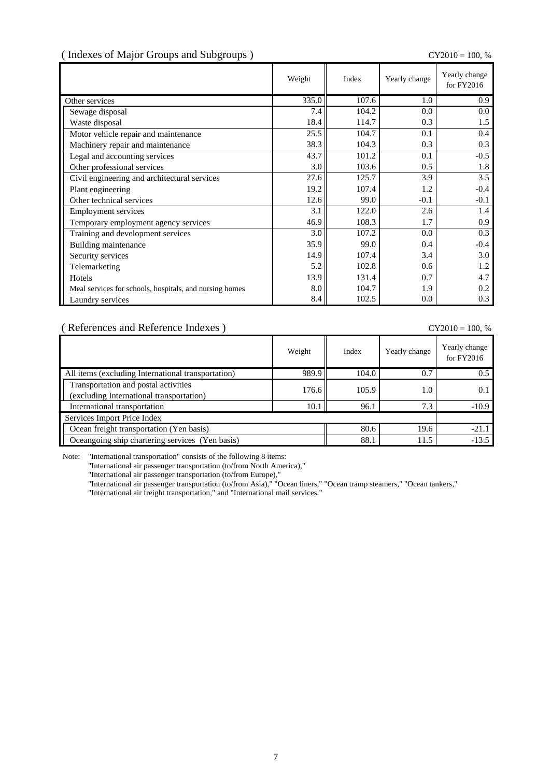### ( Indexes of Major Groups and Subgroups ) CY2010 = 100, %

|                                                         | Weight | Index | Yearly change | Yearly change<br>for FY2016 |
|---------------------------------------------------------|--------|-------|---------------|-----------------------------|
| Other services                                          | 335.0  | 107.6 | 1.0           | 0.9                         |
| Sewage disposal                                         | 7.4    | 104.2 | 0.0           | $0.0\,$                     |
| Waste disposal                                          | 18.4   | 114.7 | 0.3           | 1.5                         |
| Motor vehicle repair and maintenance                    | 25.5   | 104.7 | 0.1           | 0.4                         |
| Machinery repair and maintenance                        | 38.3   | 104.3 | 0.3           | 0.3                         |
| Legal and accounting services                           | 43.7   | 101.2 | 0.1           | $-0.5$                      |
| Other professional services                             | 3.0    | 103.6 | 0.5           | 1.8                         |
| Civil engineering and architectural services            | 27.6   | 125.7 | 3.9           | 3.5                         |
| Plant engineering                                       | 19.2   | 107.4 | 1.2           | $-0.4$                      |
| Other technical services                                | 12.6   | 99.0  | $-0.1$        | $-0.1$                      |
| <b>Employment services</b>                              | 3.1    | 122.0 | 2.6           | 1.4                         |
| Temporary employment agency services                    | 46.9   | 108.3 | 1.7           | 0.9                         |
| Training and development services                       | 3.0    | 107.2 | 0.0           | 0.3                         |
| Building maintenance                                    | 35.9   | 99.0  | 0.4           | $-0.4$                      |
| Security services                                       | 14.9   | 107.4 | 3.4           | 3.0                         |
| Telemarketing                                           | 5.2    | 102.8 | 0.6           | 1.2                         |
| Hotels                                                  | 13.9   | 131.4 | 0.7           | 4.7                         |
| Meal services for schools, hospitals, and nursing homes | 8.0    | 104.7 | 1.9           | 0.2                         |
| Laundry services                                        | 8.4    | 102.5 | 0.0           | 0.3                         |

( References and Reference Indexes ) CY2010 = 100, %

|                                                                                  | Weight | Index | Yearly change | Yearly change<br>for FY2016 |
|----------------------------------------------------------------------------------|--------|-------|---------------|-----------------------------|
| All items (excluding International transportation)                               | 989.9  | 104.0 | 0.7           | 0.5                         |
| Transportation and postal activities<br>(excluding International transportation) | 176.6  | 105.9 | 1.0           | 0.1                         |
| International transportation                                                     | 10.1   | 96.1  | 7.3           | $-10.9$                     |
| Services Import Price Index                                                      |        |       |               |                             |
| Ocean freight transportation (Yen basis)                                         | 80.6   | 19.6  | $-21.1$       |                             |
| Oceangoing ship chartering services (Yen basis)                                  |        | 88.1  | 11.5          | $-13.5$                     |

Note: "International transportation" consists of the following 8 items:

"International air passenger transportation (to/from North America),"

"International air passenger transportation (to/from Europe),"

"International air passenger transportation (to/from Asia)," "Ocean liners," "Ocean tramp steamers," "Ocean tankers,"

"International air freight transportation," and "International mail services."